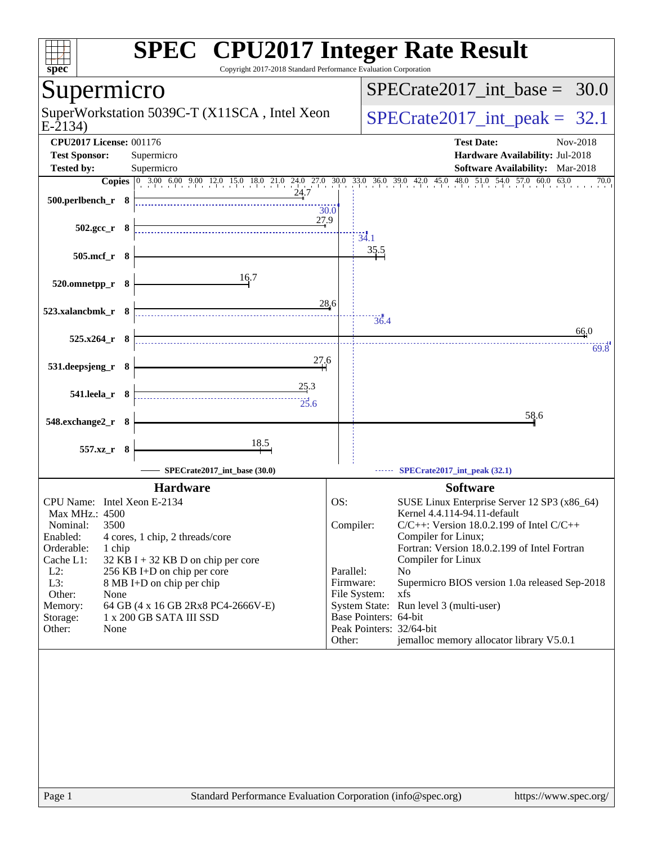| Copyright 2017-2018 Standard Performance Evaluation Corporation<br>spec <sup>®</sup>    | <b>SPEC<sup>®</sup> CPU2017 Integer Rate Result</b>                                                                               |      |
|-----------------------------------------------------------------------------------------|-----------------------------------------------------------------------------------------------------------------------------------|------|
| Supermicro                                                                              | $SPECrate2017$ _int_base =<br>30.0                                                                                                |      |
| SuperWorkstation 5039C-T (X11SCA, Intel Xeon<br>$E-2134$                                | $SPECrate2017\_int\_peak = 32.1$                                                                                                  |      |
| <b>CPU2017 License: 001176</b><br><b>Test Sponsor:</b><br>Supermicro                    | <b>Test Date:</b><br>Nov-2018<br>Hardware Availability: Jul-2018                                                                  |      |
| <b>Tested by:</b><br>Supermicro                                                         | Software Availability: Mar-2018                                                                                                   |      |
|                                                                                         | Copies 0 3.00 6.00 9.00 12.0 15.0 18.0 21.0 24.0 27.0 30.0 33.0 36.0 39.0 42.0 45.0 48.0 51.0 54.0 57.0 60.0 63.0                 | 70.0 |
| 24.7<br>500.perlbench_r 8                                                               | 30.0                                                                                                                              |      |
| 27.9<br>$502.\text{gcc}_r$ 8                                                            | 34.1                                                                                                                              |      |
| 505.mcf_r 8                                                                             | 35.5                                                                                                                              |      |
| 16.7<br>520.omnetpp_r 8                                                                 |                                                                                                                                   |      |
| 523.xalancbmk r 8                                                                       | 28.6<br>$\frac{1}{36.4}$                                                                                                          |      |
| $525.x264_r$ 8                                                                          | 66,0                                                                                                                              |      |
| 27.6<br>531.deepsjeng_r 8                                                               |                                                                                                                                   | 69.8 |
| 25.3<br>$541.$ leela_r $8$<br>25.6                                                      |                                                                                                                                   |      |
| 548.exchange2_r 8                                                                       | 58.6                                                                                                                              |      |
| 18.5<br>557.xz_r 8                                                                      |                                                                                                                                   |      |
| SPECrate2017_int_base (30.0)                                                            | SPECrate2017_int_peak (32.1)                                                                                                      |      |
| <b>Hardware</b>                                                                         | <b>Software</b>                                                                                                                   |      |
| CPU Name: Intel Xeon E-2134<br>Max MHz.: 4500                                           | OS:<br>SUSE Linux Enterprise Server 12 SP3 (x86_64)<br>Kernel 4.4.114-94.11-default                                               |      |
| Nominal:<br>3500<br>Enabled:<br>4 cores, 1 chip, 2 threads/core<br>Orderable:<br>1 chip | Compiler:<br>$C/C++$ : Version 18.0.2.199 of Intel $C/C++$<br>Compiler for Linux;<br>Fortran: Version 18.0.2.199 of Intel Fortran |      |
| Cache L1:<br>32 KB I + 32 KB D on chip per core                                         | Compiler for Linux                                                                                                                |      |
| $L2$ :<br>256 KB I+D on chip per core<br>L3:<br>8 MB I+D on chip per chip               | Parallel:<br>No<br>Firmware:<br>Supermicro BIOS version 1.0a released Sep-2018                                                    |      |
| Other:<br>None                                                                          | File System:<br>xfs                                                                                                               |      |
| Memory:<br>64 GB (4 x 16 GB 2Rx8 PC4-2666V-E)<br>1 x 200 GB SATA III SSD                | System State: Run level 3 (multi-user)<br>Base Pointers: 64-bit                                                                   |      |
| Storage:<br>Other:<br>None                                                              | Peak Pointers: 32/64-bit                                                                                                          |      |
|                                                                                         | jemalloc memory allocator library V5.0.1<br>Other:                                                                                |      |
|                                                                                         |                                                                                                                                   |      |
|                                                                                         |                                                                                                                                   |      |
| Page 1                                                                                  | Standard Performance Evaluation Corporation (info@spec.org)<br>https://www.spec.org/                                              |      |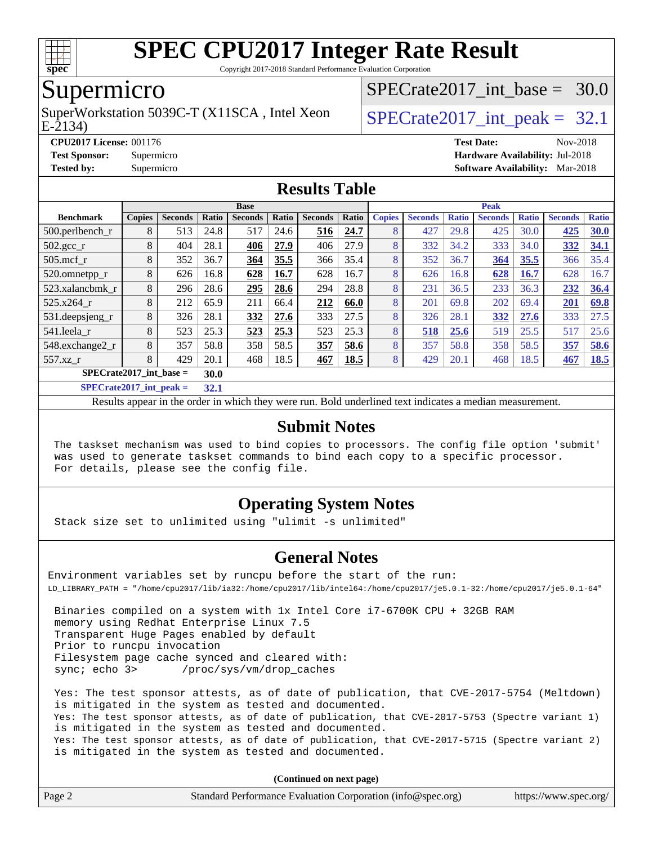

Copyright 2017-2018 Standard Performance Evaluation Corporation

### Supermicro

E-2134) SuperWorkstation 5039C-T (X11SCA, Intel Xeon  $\big|$  SPECrate 2017 int peak = 32.1

SPECrate2017 int\_base =  $30.0$ 

**[CPU2017 License:](http://www.spec.org/auto/cpu2017/Docs/result-fields.html#CPU2017License)** 001176 **[Test Date:](http://www.spec.org/auto/cpu2017/Docs/result-fields.html#TestDate)** Nov-2018

#### **[Test Sponsor:](http://www.spec.org/auto/cpu2017/Docs/result-fields.html#TestSponsor)** Supermicro **[Hardware Availability:](http://www.spec.org/auto/cpu2017/Docs/result-fields.html#HardwareAvailability)** Jul-2018 **[Tested by:](http://www.spec.org/auto/cpu2017/Docs/result-fields.html#Testedby)** Supermicro **[Software Availability:](http://www.spec.org/auto/cpu2017/Docs/result-fields.html#SoftwareAvailability)** Mar-2018

#### **[Results Table](http://www.spec.org/auto/cpu2017/Docs/result-fields.html#ResultsTable)**

| <b>Base</b>               |                |       |                |       |                | <b>Peak</b> |               |                |              |                |              |                |              |
|---------------------------|----------------|-------|----------------|-------|----------------|-------------|---------------|----------------|--------------|----------------|--------------|----------------|--------------|
| <b>Copies</b>             | <b>Seconds</b> | Ratio | <b>Seconds</b> | Ratio | <b>Seconds</b> | Ratio       | <b>Copies</b> | <b>Seconds</b> | <b>Ratio</b> | <b>Seconds</b> | <b>Ratio</b> | <b>Seconds</b> | <b>Ratio</b> |
| 8                         | 513            | 24.8  | 517            | 24.6  | 516            | 24.7        | 8             | 427            | 29.8         | 425            | 30.0         | 425            | 30.0         |
| 8                         | 404            | 28.1  | 406            | 27.9  | 406            | 27.9        | 8             | 332            | 34.2         | 333            | 34.0         | 332            | 34.1         |
| 8                         | 352            | 36.7  | 364            | 35.5  | 366            | 35.4        | 8             | 352            | 36.7         | 364            | 35.5         | 366            | 35.4         |
| 8                         | 626            | 16.8  | 628            | 16.7  | 628            | 16.7        | 8             | 626            | 16.8         | 628            | 16.7         | 628            | 16.7         |
| 8                         | 296            | 28.6  | 295            | 28.6  | 294            | 28.8        | 8             | 231            | 36.5         | 233            | 36.3         | 232            | 36.4         |
| 8                         | 212            | 65.9  | 211            | 66.4  | 212            | 66.0        | 8             | 201            | 69.8         | 202            | 69.4         | 201            | 69.8         |
| 8                         | 326            | 28.1  | 332            | 27.6  | 333            | 27.5        | 8             | 326            | 28.1         | 332            | 27.6         | 333            | 27.5         |
| 8                         | 523            | 25.3  | 523            | 25.3  | 523            | 25.3        | 8             | 518            | 25.6         | 519            | 25.5         | 517            | 25.6         |
| 8                         | 357            | 58.8  | 358            | 58.5  | 357            | 58.6        | 8             | 357            | 58.8         | 358            | 58.5         | 357            | 58.6         |
| 8                         | 429            | 20.1  | 468            | 18.5  | 467            | 18.5        | 8             | 429            | 20.1         | 468            | 18.5         | 467            | 18.5         |
| $SPECrate2017$ int base = |                |       |                |       |                |             |               |                |              |                |              |                |              |
|                           |                |       | 30.0           |       |                |             |               |                |              |                |              |                |              |

**[SPECrate2017\\_int\\_peak =](http://www.spec.org/auto/cpu2017/Docs/result-fields.html#SPECrate2017intpeak) 32.1**

Results appear in the [order in which they were run](http://www.spec.org/auto/cpu2017/Docs/result-fields.html#RunOrder). Bold underlined text [indicates a median measurement](http://www.spec.org/auto/cpu2017/Docs/result-fields.html#Median).

#### **[Submit Notes](http://www.spec.org/auto/cpu2017/Docs/result-fields.html#SubmitNotes)**

 The taskset mechanism was used to bind copies to processors. The config file option 'submit' was used to generate taskset commands to bind each copy to a specific processor. For details, please see the config file.

#### **[Operating System Notes](http://www.spec.org/auto/cpu2017/Docs/result-fields.html#OperatingSystemNotes)**

Stack size set to unlimited using "ulimit -s unlimited"

#### **[General Notes](http://www.spec.org/auto/cpu2017/Docs/result-fields.html#GeneralNotes)**

Environment variables set by runcpu before the start of the run: LD\_LIBRARY\_PATH = "/home/cpu2017/lib/ia32:/home/cpu2017/lib/intel64:/home/cpu2017/je5.0.1-32:/home/cpu2017/je5.0.1-64"

 Binaries compiled on a system with 1x Intel Core i7-6700K CPU + 32GB RAM memory using Redhat Enterprise Linux 7.5 Transparent Huge Pages enabled by default Prior to runcpu invocation Filesystem page cache synced and cleared with: sync; echo 3> /proc/sys/vm/drop\_caches

 Yes: The test sponsor attests, as of date of publication, that CVE-2017-5754 (Meltdown) is mitigated in the system as tested and documented. Yes: The test sponsor attests, as of date of publication, that CVE-2017-5753 (Spectre variant 1) is mitigated in the system as tested and documented. Yes: The test sponsor attests, as of date of publication, that CVE-2017-5715 (Spectre variant 2) is mitigated in the system as tested and documented.

**(Continued on next page)**

| Page 2 | Standard Performance Evaluation Corporation (info@spec.org) | https://www.spec.org/ |
|--------|-------------------------------------------------------------|-----------------------|
|        |                                                             |                       |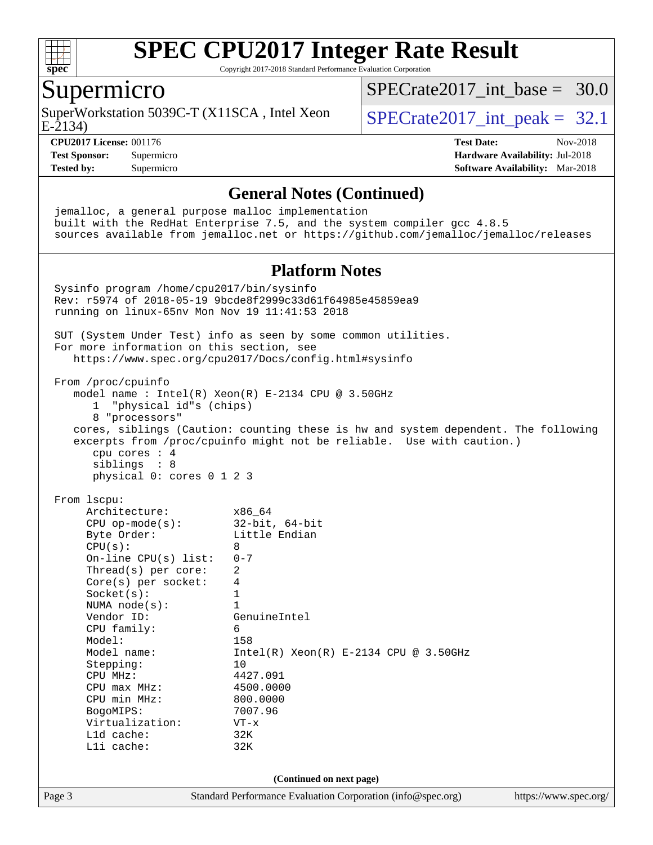

Copyright 2017-2018 Standard Performance Evaluation Corporation

#### Supermicro

E-2134) SuperWorkstation 5039C-T (X11SCA, Intel Xeon  $\big|$  SPECrate 2017 int peak = 32.1

SPECrate2017 int\_base =  $30.0$ 

**[CPU2017 License:](http://www.spec.org/auto/cpu2017/Docs/result-fields.html#CPU2017License)** 001176 **[Test Date:](http://www.spec.org/auto/cpu2017/Docs/result-fields.html#TestDate)** Nov-2018

**[Test Sponsor:](http://www.spec.org/auto/cpu2017/Docs/result-fields.html#TestSponsor)** Supermicro **[Hardware Availability:](http://www.spec.org/auto/cpu2017/Docs/result-fields.html#HardwareAvailability)** Jul-2018 **[Tested by:](http://www.spec.org/auto/cpu2017/Docs/result-fields.html#Testedby)** Supermicro **[Software Availability:](http://www.spec.org/auto/cpu2017/Docs/result-fields.html#SoftwareAvailability)** Mar-2018

Page 3 Standard Performance Evaluation Corporation [\(info@spec.org\)](mailto:info@spec.org) <https://www.spec.org/> **[General Notes \(Continued\)](http://www.spec.org/auto/cpu2017/Docs/result-fields.html#GeneralNotes)** jemalloc, a general purpose malloc implementation built with the RedHat Enterprise 7.5, and the system compiler gcc 4.8.5 sources available from jemalloc.net or <https://github.com/jemalloc/jemalloc/releases> **[Platform Notes](http://www.spec.org/auto/cpu2017/Docs/result-fields.html#PlatformNotes)** Sysinfo program /home/cpu2017/bin/sysinfo Rev: r5974 of 2018-05-19 9bcde8f2999c33d61f64985e45859ea9 running on linux-65nv Mon Nov 19 11:41:53 2018 SUT (System Under Test) info as seen by some common utilities. For more information on this section, see <https://www.spec.org/cpu2017/Docs/config.html#sysinfo> From /proc/cpuinfo model name : Intel(R) Xeon(R) E-2134 CPU @ 3.50GHz 1 "physical id"s (chips) 8 "processors" cores, siblings (Caution: counting these is hw and system dependent. The following excerpts from /proc/cpuinfo might not be reliable. Use with caution.) cpu cores : 4 siblings : 8 physical 0: cores 0 1 2 3 From lscpu: Architecture: x86\_64 CPU op-mode(s): 32-bit, 64-bit Byte Order: Little Endian  $CPU(s): 8$  On-line CPU(s) list: 0-7 Thread(s) per core: 2 Core(s) per socket: 4 Socket(s): 1 NUMA node(s): 1<br>Vendor ID: Ge GenuineIntel CPU family: 6 Model: 158 Model name: Intel(R) Xeon(R) E-2134 CPU @ 3.50GHz Stepping: 10 CPU MHz: 4427.091 CPU max MHz: 4500.0000 CPU min MHz: 800.0000 BogoMIPS: 7007.96 Virtualization: VT-x L1d cache: 32K L1i cache: 32K **(Continued on next page)**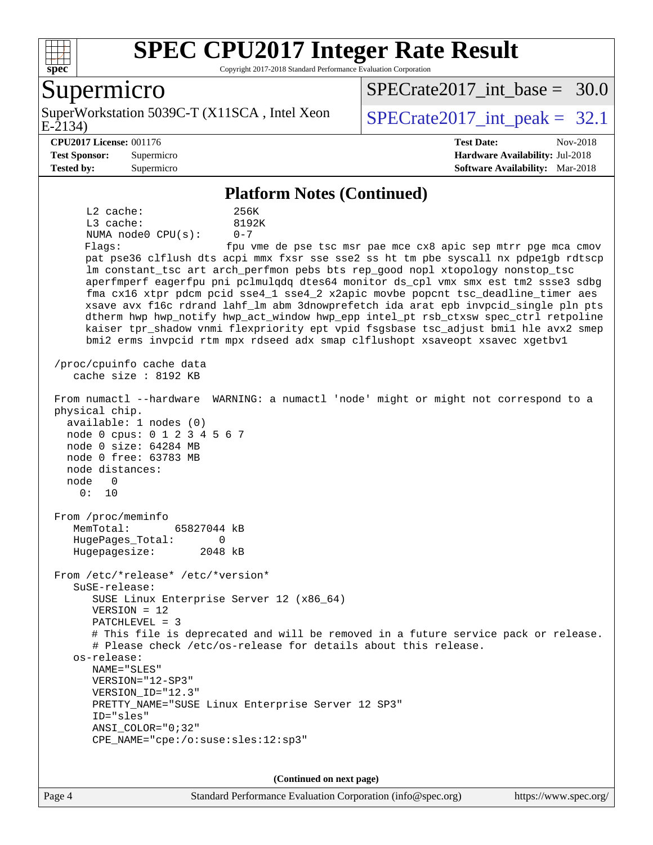

Copyright 2017-2018 Standard Performance Evaluation Corporation

#### Supermicro

E-2134) SuperWorkstation 5039C-T (X11SCA, Intel Xeon  $\big|$  SPECrate 2017 int peak = 32.1

SPECrate2017 int\_base =  $30.0$ 

**[Test Sponsor:](http://www.spec.org/auto/cpu2017/Docs/result-fields.html#TestSponsor)** Supermicro **[Hardware Availability:](http://www.spec.org/auto/cpu2017/Docs/result-fields.html#HardwareAvailability)** Jul-2018

**[CPU2017 License:](http://www.spec.org/auto/cpu2017/Docs/result-fields.html#CPU2017License)** 001176 **[Test Date:](http://www.spec.org/auto/cpu2017/Docs/result-fields.html#TestDate)** Nov-2018

**[Tested by:](http://www.spec.org/auto/cpu2017/Docs/result-fields.html#Testedby)** Supermicro **[Software Availability:](http://www.spec.org/auto/cpu2017/Docs/result-fields.html#SoftwareAvailability)** Mar-2018

#### **[Platform Notes \(Continued\)](http://www.spec.org/auto/cpu2017/Docs/result-fields.html#PlatformNotes)**

 L2 cache: 256K L3 cache: 8192K NUMA node0 CPU(s): 0-7 Flags: fpu vme de pse tsc msr pae mce cx8 apic sep mtrr pge mca cmov pat pse36 clflush dts acpi mmx fxsr sse sse2 ss ht tm pbe syscall nx pdpe1gb rdtscp lm constant\_tsc art arch\_perfmon pebs bts rep\_good nopl xtopology nonstop\_tsc aperfmperf eagerfpu pni pclmulqdq dtes64 monitor ds\_cpl vmx smx est tm2 ssse3 sdbg fma cx16 xtpr pdcm pcid sse4\_1 sse4\_2 x2apic movbe popcnt tsc\_deadline\_timer aes xsave avx f16c rdrand lahf\_lm abm 3dnowprefetch ida arat epb invpcid\_single pln pts dtherm hwp hwp\_notify hwp\_act\_window hwp\_epp intel\_pt rsb\_ctxsw spec\_ctrl retpoline kaiser tpr\_shadow vnmi flexpriority ept vpid fsgsbase tsc\_adjust bmi1 hle avx2 smep bmi2 erms invpcid rtm mpx rdseed adx smap clflushopt xsaveopt xsavec xgetbv1 /proc/cpuinfo cache data cache size : 8192 KB From numactl --hardware WARNING: a numactl 'node' might or might not correspond to a physical chip. available: 1 nodes (0) node 0 cpus: 0 1 2 3 4 5 6 7 node 0 size: 64284 MB node 0 free: 63783 MB node distances: node 0 0: 10 From /proc/meminfo MemTotal: 65827044 kB HugePages\_Total: 0 Hugepagesize: 2048 kB From /etc/\*release\* /etc/\*version\* SuSE-release: SUSE Linux Enterprise Server 12 (x86\_64) VERSION = 12 PATCHLEVEL = 3 # This file is deprecated and will be removed in a future service pack or release. # Please check /etc/os-release for details about this release. os-release: NAME="SLES" VERSION="12-SP3" VERSION\_ID="12.3" PRETTY\_NAME="SUSE Linux Enterprise Server 12 SP3" ID="sles" ANSI\_COLOR="0;32" CPE\_NAME="cpe:/o:suse:sles:12:sp3" **(Continued on next page)**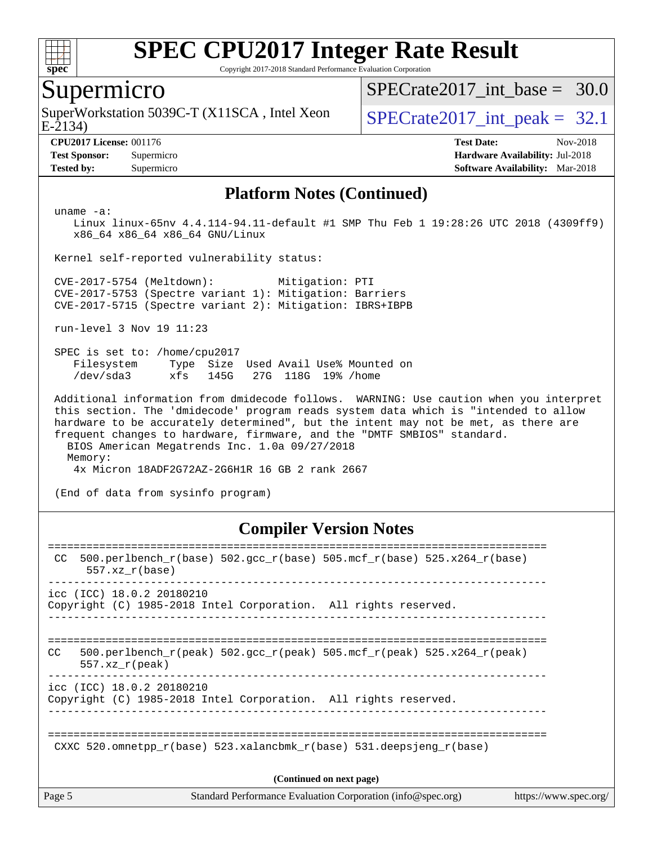

Copyright 2017-2018 Standard Performance Evaluation Corporation

#### Supermicro

E-2134) SuperWorkstation 5039C-T (X11SCA, Intel Xeon  $\big|$  SPECrate 2017 int peak = 32.1

SPECrate2017 int\_base =  $30.0$ 

**[CPU2017 License:](http://www.spec.org/auto/cpu2017/Docs/result-fields.html#CPU2017License)** 001176 **[Test Date:](http://www.spec.org/auto/cpu2017/Docs/result-fields.html#TestDate)** Nov-2018 **[Test Sponsor:](http://www.spec.org/auto/cpu2017/Docs/result-fields.html#TestSponsor)** Supermicro **[Hardware Availability:](http://www.spec.org/auto/cpu2017/Docs/result-fields.html#HardwareAvailability)** Jul-2018 **[Tested by:](http://www.spec.org/auto/cpu2017/Docs/result-fields.html#Testedby)** Supermicro **[Software Availability:](http://www.spec.org/auto/cpu2017/Docs/result-fields.html#SoftwareAvailability)** Mar-2018

#### **[Platform Notes \(Continued\)](http://www.spec.org/auto/cpu2017/Docs/result-fields.html#PlatformNotes)**

uname -a:

 Linux linux-65nv 4.4.114-94.11-default #1 SMP Thu Feb 1 19:28:26 UTC 2018 (4309ff9) x86\_64 x86\_64 x86\_64 GNU/Linux

Kernel self-reported vulnerability status:

 CVE-2017-5754 (Meltdown): Mitigation: PTI CVE-2017-5753 (Spectre variant 1): Mitigation: Barriers CVE-2017-5715 (Spectre variant 2): Mitigation: IBRS+IBPB

run-level 3 Nov 19 11:23

 SPEC is set to: /home/cpu2017 Filesystem Type Size Used Avail Use% Mounted on /dev/sda3 xfs 145G 27G 118G 19% /home

 Additional information from dmidecode follows. WARNING: Use caution when you interpret this section. The 'dmidecode' program reads system data which is "intended to allow hardware to be accurately determined", but the intent may not be met, as there are frequent changes to hardware, firmware, and the "DMTF SMBIOS" standard. BIOS American Megatrends Inc. 1.0a 09/27/2018

Memory:

4x Micron 18ADF2G72AZ-2G6H1R 16 GB 2 rank 2667

(End of data from sysinfo program)

#### **[Compiler Version Notes](http://www.spec.org/auto/cpu2017/Docs/result-fields.html#CompilerVersionNotes)**

| Page 5 |                           | Standard Performance Evaluation Corporation (info@spec.org)                | https://www.spec.org/ |
|--------|---------------------------|----------------------------------------------------------------------------|-----------------------|
|        |                           | (Continued on next page)                                                   |                       |
|        |                           | CXXC 520.omnetpp $r(base)$ 523.xalancbmk $r(base)$ 531.deepsjeng $r(base)$ |                       |
|        | icc (ICC) 18.0.2 20180210 | Copyright (C) 1985-2018 Intel Corporation. All rights reserved.            |                       |
| CC.    | $557.xx$ r(peak)          | 500.perlbench r(peak) 502.qcc r(peak) 505.mcf r(peak) 525.x264 r(peak)     |                       |
|        | icc (ICC) 18.0.2 20180210 | Copyright (C) 1985-2018 Intel Corporation. All rights reserved.            |                       |
| CC.    | $557.xx$ $r(base)$        | 500.perlbench_r(base) 502.gcc_r(base) 505.mcf_r(base) 525.x264_r(base)     |                       |
|        |                           |                                                                            |                       |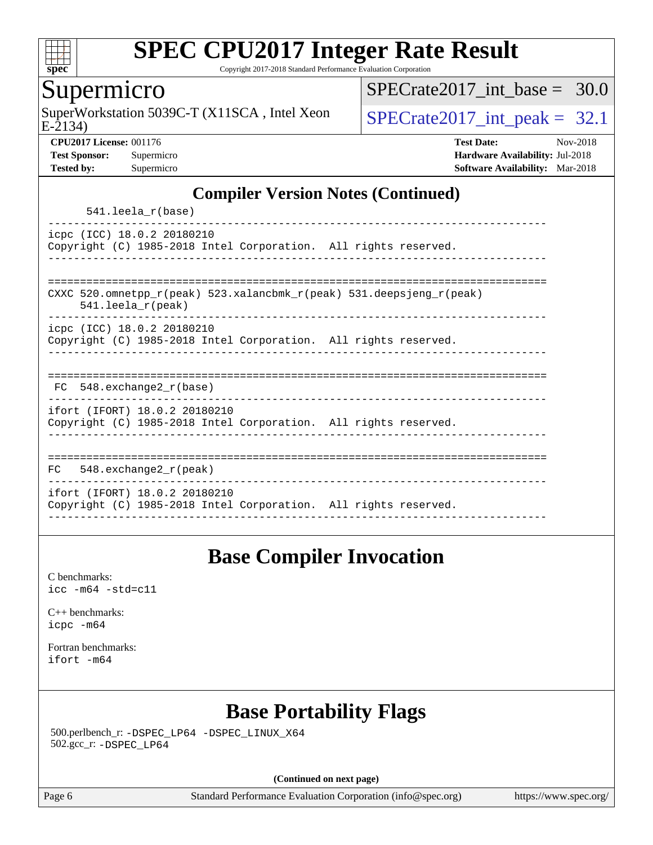

Copyright 2017-2018 Standard Performance Evaluation Corporation

#### Supermicro

SuperWorkstation 5039C-T (X11SCA, Intel Xeon  $\big|$  SPECrate2017 int peak = 32.1

SPECrate2017 int\_base =  $30.0$ 

E-2134)

**[CPU2017 License:](http://www.spec.org/auto/cpu2017/Docs/result-fields.html#CPU2017License)** 001176 **[Test Date:](http://www.spec.org/auto/cpu2017/Docs/result-fields.html#TestDate)** Nov-2018 **[Test Sponsor:](http://www.spec.org/auto/cpu2017/Docs/result-fields.html#TestSponsor)** Supermicro **[Hardware Availability:](http://www.spec.org/auto/cpu2017/Docs/result-fields.html#HardwareAvailability)** Jul-2018 **[Tested by:](http://www.spec.org/auto/cpu2017/Docs/result-fields.html#Testedby)** Supermicro **[Software Availability:](http://www.spec.org/auto/cpu2017/Docs/result-fields.html#SoftwareAvailability)** Mar-2018

#### **[Compiler Version Notes \(Continued\)](http://www.spec.org/auto/cpu2017/Docs/result-fields.html#CompilerVersionNotes)**

541.leela\_r(base)

----------------------------------------------------------------------------- icpc (ICC) 18.0.2 20180210 Copyright (C) 1985-2018 Intel Corporation. All rights reserved. ------------------------------------------------------------------------------

============================================================================== CXXC 520.omnetpp\_r(peak) 523.xalancbmk\_r(peak) 531.deepsjeng\_r(peak)

541.leela\_r(peak)

----------------------------------------------------------------------------- icpc (ICC) 18.0.2 20180210

Copyright (C) 1985-2018 Intel Corporation. All rights reserved. ------------------------------------------------------------------------------

| 耳ぺ | 548.exchange2 r(base) |  |  |  |  |
|----|-----------------------|--|--|--|--|

------------------------------------------------------------------------------

ifort (IFORT) 18.0.2 20180210 Copyright (C) 1985-2018 Intel Corporation. All rights reserved. ------------------------------------------------------------------------------

============================================================================== FC 548.exchange2\_r(peak) ----------------------------------------------------------------------------- ifort (IFORT) 18.0.2 20180210 Copyright (C) 1985-2018 Intel Corporation. All rights reserved. ------------------------------------------------------------------------------

### **[Base Compiler Invocation](http://www.spec.org/auto/cpu2017/Docs/result-fields.html#BaseCompilerInvocation)**

[C benchmarks](http://www.spec.org/auto/cpu2017/Docs/result-fields.html#Cbenchmarks): [icc -m64 -std=c11](http://www.spec.org/cpu2017/results/res2018q4/cpu2017-20181127-09964.flags.html#user_CCbase_intel_icc_64bit_c11_33ee0cdaae7deeeab2a9725423ba97205ce30f63b9926c2519791662299b76a0318f32ddfffdc46587804de3178b4f9328c46fa7c2b0cd779d7a61945c91cd35)

[C++ benchmarks:](http://www.spec.org/auto/cpu2017/Docs/result-fields.html#CXXbenchmarks) [icpc -m64](http://www.spec.org/cpu2017/results/res2018q4/cpu2017-20181127-09964.flags.html#user_CXXbase_intel_icpc_64bit_4ecb2543ae3f1412ef961e0650ca070fec7b7afdcd6ed48761b84423119d1bf6bdf5cad15b44d48e7256388bc77273b966e5eb805aefd121eb22e9299b2ec9d9)

[Fortran benchmarks](http://www.spec.org/auto/cpu2017/Docs/result-fields.html#Fortranbenchmarks): [ifort -m64](http://www.spec.org/cpu2017/results/res2018q4/cpu2017-20181127-09964.flags.html#user_FCbase_intel_ifort_64bit_24f2bb282fbaeffd6157abe4f878425411749daecae9a33200eee2bee2fe76f3b89351d69a8130dd5949958ce389cf37ff59a95e7a40d588e8d3a57e0c3fd751)

### **[Base Portability Flags](http://www.spec.org/auto/cpu2017/Docs/result-fields.html#BasePortabilityFlags)**

 500.perlbench\_r: [-DSPEC\\_LP64](http://www.spec.org/cpu2017/results/res2018q4/cpu2017-20181127-09964.flags.html#b500.perlbench_r_basePORTABILITY_DSPEC_LP64) [-DSPEC\\_LINUX\\_X64](http://www.spec.org/cpu2017/results/res2018q4/cpu2017-20181127-09964.flags.html#b500.perlbench_r_baseCPORTABILITY_DSPEC_LINUX_X64) 502.gcc\_r: [-DSPEC\\_LP64](http://www.spec.org/cpu2017/results/res2018q4/cpu2017-20181127-09964.flags.html#suite_basePORTABILITY502_gcc_r_DSPEC_LP64)

**(Continued on next page)**

Page 6 Standard Performance Evaluation Corporation [\(info@spec.org\)](mailto:info@spec.org) <https://www.spec.org/>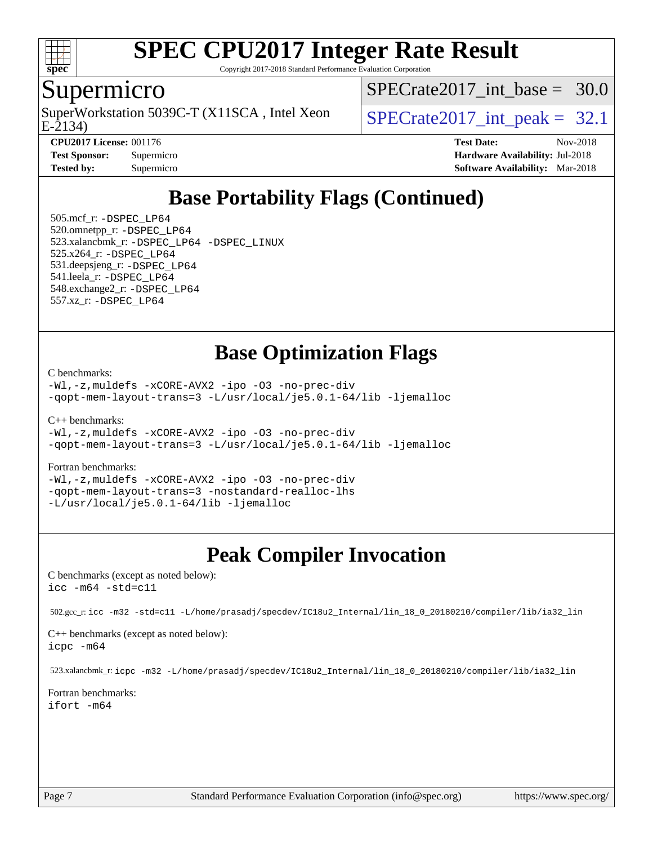

Copyright 2017-2018 Standard Performance Evaluation Corporation

#### Supermicro

E-2134) SuperWorkstation 5039C-T (X11SCA, Intel Xeon  $SPECrate2017$  int peak = 32.1

SPECrate2017 int\_base =  $30.0$ 

**[CPU2017 License:](http://www.spec.org/auto/cpu2017/Docs/result-fields.html#CPU2017License)** 001176 **[Test Date:](http://www.spec.org/auto/cpu2017/Docs/result-fields.html#TestDate)** Nov-2018 **[Test Sponsor:](http://www.spec.org/auto/cpu2017/Docs/result-fields.html#TestSponsor)** Supermicro **[Hardware Availability:](http://www.spec.org/auto/cpu2017/Docs/result-fields.html#HardwareAvailability)** Jul-2018 **[Tested by:](http://www.spec.org/auto/cpu2017/Docs/result-fields.html#Testedby)** Supermicro **[Software Availability:](http://www.spec.org/auto/cpu2017/Docs/result-fields.html#SoftwareAvailability)** Mar-2018

### **[Base Portability Flags \(Continued\)](http://www.spec.org/auto/cpu2017/Docs/result-fields.html#BasePortabilityFlags)**

 505.mcf\_r: [-DSPEC\\_LP64](http://www.spec.org/cpu2017/results/res2018q4/cpu2017-20181127-09964.flags.html#suite_basePORTABILITY505_mcf_r_DSPEC_LP64) 520.omnetpp\_r: [-DSPEC\\_LP64](http://www.spec.org/cpu2017/results/res2018q4/cpu2017-20181127-09964.flags.html#suite_basePORTABILITY520_omnetpp_r_DSPEC_LP64) 523.xalancbmk\_r: [-DSPEC\\_LP64](http://www.spec.org/cpu2017/results/res2018q4/cpu2017-20181127-09964.flags.html#suite_basePORTABILITY523_xalancbmk_r_DSPEC_LP64) [-DSPEC\\_LINUX](http://www.spec.org/cpu2017/results/res2018q4/cpu2017-20181127-09964.flags.html#b523.xalancbmk_r_baseCXXPORTABILITY_DSPEC_LINUX) 525.x264\_r: [-DSPEC\\_LP64](http://www.spec.org/cpu2017/results/res2018q4/cpu2017-20181127-09964.flags.html#suite_basePORTABILITY525_x264_r_DSPEC_LP64) 531.deepsjeng\_r: [-DSPEC\\_LP64](http://www.spec.org/cpu2017/results/res2018q4/cpu2017-20181127-09964.flags.html#suite_basePORTABILITY531_deepsjeng_r_DSPEC_LP64) 541.leela\_r: [-DSPEC\\_LP64](http://www.spec.org/cpu2017/results/res2018q4/cpu2017-20181127-09964.flags.html#suite_basePORTABILITY541_leela_r_DSPEC_LP64) 548.exchange2\_r: [-DSPEC\\_LP64](http://www.spec.org/cpu2017/results/res2018q4/cpu2017-20181127-09964.flags.html#suite_basePORTABILITY548_exchange2_r_DSPEC_LP64) 557.xz\_r: [-DSPEC\\_LP64](http://www.spec.org/cpu2017/results/res2018q4/cpu2017-20181127-09964.flags.html#suite_basePORTABILITY557_xz_r_DSPEC_LP64)

### **[Base Optimization Flags](http://www.spec.org/auto/cpu2017/Docs/result-fields.html#BaseOptimizationFlags)**

[C benchmarks](http://www.spec.org/auto/cpu2017/Docs/result-fields.html#Cbenchmarks):

[-Wl,-z,muldefs](http://www.spec.org/cpu2017/results/res2018q4/cpu2017-20181127-09964.flags.html#user_CCbase_link_force_multiple1_b4cbdb97b34bdee9ceefcfe54f4c8ea74255f0b02a4b23e853cdb0e18eb4525ac79b5a88067c842dd0ee6996c24547a27a4b99331201badda8798ef8a743f577) [-xCORE-AVX2](http://www.spec.org/cpu2017/results/res2018q4/cpu2017-20181127-09964.flags.html#user_CCbase_f-xCORE-AVX2) [-ipo](http://www.spec.org/cpu2017/results/res2018q4/cpu2017-20181127-09964.flags.html#user_CCbase_f-ipo) [-O3](http://www.spec.org/cpu2017/results/res2018q4/cpu2017-20181127-09964.flags.html#user_CCbase_f-O3) [-no-prec-div](http://www.spec.org/cpu2017/results/res2018q4/cpu2017-20181127-09964.flags.html#user_CCbase_f-no-prec-div) [-qopt-mem-layout-trans=3](http://www.spec.org/cpu2017/results/res2018q4/cpu2017-20181127-09964.flags.html#user_CCbase_f-qopt-mem-layout-trans_de80db37974c74b1f0e20d883f0b675c88c3b01e9d123adea9b28688d64333345fb62bc4a798493513fdb68f60282f9a726aa07f478b2f7113531aecce732043) [-L/usr/local/je5.0.1-64/lib](http://www.spec.org/cpu2017/results/res2018q4/cpu2017-20181127-09964.flags.html#user_CCbase_jemalloc_link_path64_4b10a636b7bce113509b17f3bd0d6226c5fb2346b9178c2d0232c14f04ab830f976640479e5c33dc2bcbbdad86ecfb6634cbbd4418746f06f368b512fced5394) [-ljemalloc](http://www.spec.org/cpu2017/results/res2018q4/cpu2017-20181127-09964.flags.html#user_CCbase_jemalloc_link_lib_d1249b907c500fa1c0672f44f562e3d0f79738ae9e3c4a9c376d49f265a04b9c99b167ecedbf6711b3085be911c67ff61f150a17b3472be731631ba4d0471706)

[C++ benchmarks:](http://www.spec.org/auto/cpu2017/Docs/result-fields.html#CXXbenchmarks)

```
-Wl,-z,muldefs -xCORE-AVX2 -ipo -O3 -no-prec-div
-qopt-mem-layout-trans=3 -L/usr/local/je5.0.1-64/lib -ljemalloc
```
[Fortran benchmarks](http://www.spec.org/auto/cpu2017/Docs/result-fields.html#Fortranbenchmarks):

[-Wl,-z,muldefs](http://www.spec.org/cpu2017/results/res2018q4/cpu2017-20181127-09964.flags.html#user_FCbase_link_force_multiple1_b4cbdb97b34bdee9ceefcfe54f4c8ea74255f0b02a4b23e853cdb0e18eb4525ac79b5a88067c842dd0ee6996c24547a27a4b99331201badda8798ef8a743f577) [-xCORE-AVX2](http://www.spec.org/cpu2017/results/res2018q4/cpu2017-20181127-09964.flags.html#user_FCbase_f-xCORE-AVX2) [-ipo](http://www.spec.org/cpu2017/results/res2018q4/cpu2017-20181127-09964.flags.html#user_FCbase_f-ipo) [-O3](http://www.spec.org/cpu2017/results/res2018q4/cpu2017-20181127-09964.flags.html#user_FCbase_f-O3) [-no-prec-div](http://www.spec.org/cpu2017/results/res2018q4/cpu2017-20181127-09964.flags.html#user_FCbase_f-no-prec-div) [-qopt-mem-layout-trans=3](http://www.spec.org/cpu2017/results/res2018q4/cpu2017-20181127-09964.flags.html#user_FCbase_f-qopt-mem-layout-trans_de80db37974c74b1f0e20d883f0b675c88c3b01e9d123adea9b28688d64333345fb62bc4a798493513fdb68f60282f9a726aa07f478b2f7113531aecce732043) [-nostandard-realloc-lhs](http://www.spec.org/cpu2017/results/res2018q4/cpu2017-20181127-09964.flags.html#user_FCbase_f_2003_std_realloc_82b4557e90729c0f113870c07e44d33d6f5a304b4f63d4c15d2d0f1fab99f5daaed73bdb9275d9ae411527f28b936061aa8b9c8f2d63842963b95c9dd6426b8a) [-L/usr/local/je5.0.1-64/lib](http://www.spec.org/cpu2017/results/res2018q4/cpu2017-20181127-09964.flags.html#user_FCbase_jemalloc_link_path64_4b10a636b7bce113509b17f3bd0d6226c5fb2346b9178c2d0232c14f04ab830f976640479e5c33dc2bcbbdad86ecfb6634cbbd4418746f06f368b512fced5394) [-ljemalloc](http://www.spec.org/cpu2017/results/res2018q4/cpu2017-20181127-09964.flags.html#user_FCbase_jemalloc_link_lib_d1249b907c500fa1c0672f44f562e3d0f79738ae9e3c4a9c376d49f265a04b9c99b167ecedbf6711b3085be911c67ff61f150a17b3472be731631ba4d0471706)

### **[Peak Compiler Invocation](http://www.spec.org/auto/cpu2017/Docs/result-fields.html#PeakCompilerInvocation)**

[C benchmarks \(except as noted below\)](http://www.spec.org/auto/cpu2017/Docs/result-fields.html#Cbenchmarksexceptasnotedbelow): [icc -m64 -std=c11](http://www.spec.org/cpu2017/results/res2018q4/cpu2017-20181127-09964.flags.html#user_CCpeak_intel_icc_64bit_c11_33ee0cdaae7deeeab2a9725423ba97205ce30f63b9926c2519791662299b76a0318f32ddfffdc46587804de3178b4f9328c46fa7c2b0cd779d7a61945c91cd35)

502.gcc\_r: [icc -m32 -std=c11 -L/home/prasadj/specdev/IC18u2\\_Internal/lin\\_18\\_0\\_20180210/compiler/lib/ia32\\_lin](http://www.spec.org/cpu2017/results/res2018q4/cpu2017-20181127-09964.flags.html#user_peakCCLD502_gcc_r_intel_icc_a481ac844e7127046fad14d498c730a1848fa901fbbb2c3dfdd5e9fbbac777c8009953946d55d8b6afe8ed0da70dd2b4f8dedbdf7ab1ee211ba70d24a5d89f85)

[C++ benchmarks \(except as noted below\):](http://www.spec.org/auto/cpu2017/Docs/result-fields.html#CXXbenchmarksexceptasnotedbelow) [icpc -m64](http://www.spec.org/cpu2017/results/res2018q4/cpu2017-20181127-09964.flags.html#user_CXXpeak_intel_icpc_64bit_4ecb2543ae3f1412ef961e0650ca070fec7b7afdcd6ed48761b84423119d1bf6bdf5cad15b44d48e7256388bc77273b966e5eb805aefd121eb22e9299b2ec9d9)

523.xalancbmk\_r: [icpc -m32 -L/home/prasadj/specdev/IC18u2\\_Internal/lin\\_18\\_0\\_20180210/compiler/lib/ia32\\_lin](http://www.spec.org/cpu2017/results/res2018q4/cpu2017-20181127-09964.flags.html#user_peakCXXLD523_xalancbmk_r_intel_icpc_c6d030cd79af6ea7d6fb64c57e8fe7ae8fe0b96fc5a3b3f4a10e3273b3d7fa9decd8263f6330cef23f751cb093a69fae84a2bf4c243500a8eed069248128076f)

[Fortran benchmarks](http://www.spec.org/auto/cpu2017/Docs/result-fields.html#Fortranbenchmarks): [ifort -m64](http://www.spec.org/cpu2017/results/res2018q4/cpu2017-20181127-09964.flags.html#user_FCpeak_intel_ifort_64bit_24f2bb282fbaeffd6157abe4f878425411749daecae9a33200eee2bee2fe76f3b89351d69a8130dd5949958ce389cf37ff59a95e7a40d588e8d3a57e0c3fd751)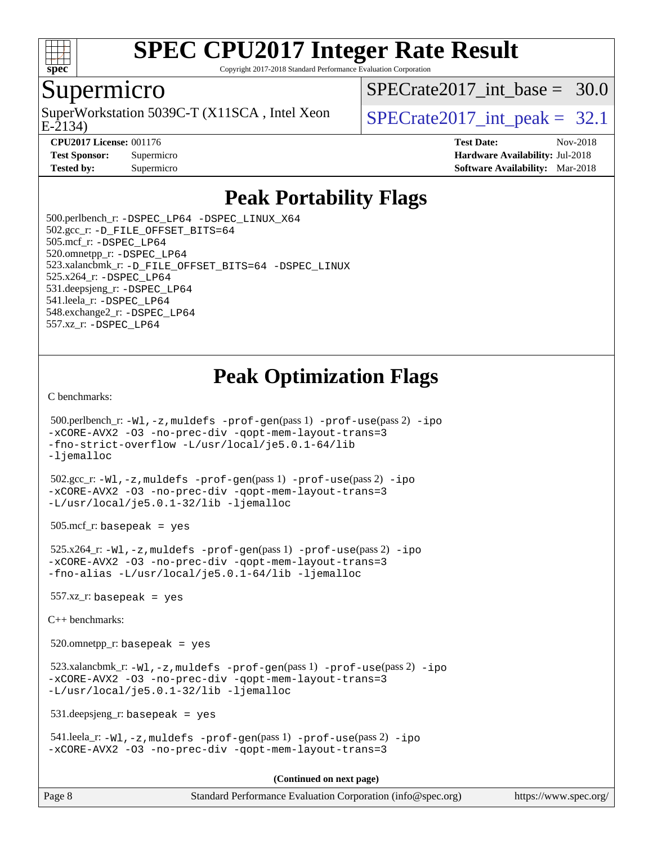

Copyright 2017-2018 Standard Performance Evaluation Corporation

#### Supermicro

SuperWorkstation 5039C-T (X11SCA, Intel Xeon  $SPECrate2017$  int peak = 32.1

SPECrate2017 int\_base =  $30.0$ 

E-2134)

**[CPU2017 License:](http://www.spec.org/auto/cpu2017/Docs/result-fields.html#CPU2017License)** 001176 **[Test Date:](http://www.spec.org/auto/cpu2017/Docs/result-fields.html#TestDate)** Nov-2018 **[Test Sponsor:](http://www.spec.org/auto/cpu2017/Docs/result-fields.html#TestSponsor)** Supermicro **[Hardware Availability:](http://www.spec.org/auto/cpu2017/Docs/result-fields.html#HardwareAvailability)** Jul-2018 **[Tested by:](http://www.spec.org/auto/cpu2017/Docs/result-fields.html#Testedby)** Supermicro **Supermicro [Software Availability:](http://www.spec.org/auto/cpu2017/Docs/result-fields.html#SoftwareAvailability)** Mar-2018

### **[Peak Portability Flags](http://www.spec.org/auto/cpu2017/Docs/result-fields.html#PeakPortabilityFlags)**

 500.perlbench\_r: [-DSPEC\\_LP64](http://www.spec.org/cpu2017/results/res2018q4/cpu2017-20181127-09964.flags.html#b500.perlbench_r_peakPORTABILITY_DSPEC_LP64) [-DSPEC\\_LINUX\\_X64](http://www.spec.org/cpu2017/results/res2018q4/cpu2017-20181127-09964.flags.html#b500.perlbench_r_peakCPORTABILITY_DSPEC_LINUX_X64) 502.gcc\_r: [-D\\_FILE\\_OFFSET\\_BITS=64](http://www.spec.org/cpu2017/results/res2018q4/cpu2017-20181127-09964.flags.html#user_peakPORTABILITY502_gcc_r_file_offset_bits_64_5ae949a99b284ddf4e95728d47cb0843d81b2eb0e18bdfe74bbf0f61d0b064f4bda2f10ea5eb90e1dcab0e84dbc592acfc5018bc955c18609f94ddb8d550002c) 505.mcf\_r: [-DSPEC\\_LP64](http://www.spec.org/cpu2017/results/res2018q4/cpu2017-20181127-09964.flags.html#suite_peakPORTABILITY505_mcf_r_DSPEC_LP64) 520.omnetpp\_r: [-DSPEC\\_LP64](http://www.spec.org/cpu2017/results/res2018q4/cpu2017-20181127-09964.flags.html#suite_peakPORTABILITY520_omnetpp_r_DSPEC_LP64) 523.xalancbmk\_r: [-D\\_FILE\\_OFFSET\\_BITS=64](http://www.spec.org/cpu2017/results/res2018q4/cpu2017-20181127-09964.flags.html#user_peakPORTABILITY523_xalancbmk_r_file_offset_bits_64_5ae949a99b284ddf4e95728d47cb0843d81b2eb0e18bdfe74bbf0f61d0b064f4bda2f10ea5eb90e1dcab0e84dbc592acfc5018bc955c18609f94ddb8d550002c) [-DSPEC\\_LINUX](http://www.spec.org/cpu2017/results/res2018q4/cpu2017-20181127-09964.flags.html#b523.xalancbmk_r_peakCXXPORTABILITY_DSPEC_LINUX) 525.x264\_r: [-DSPEC\\_LP64](http://www.spec.org/cpu2017/results/res2018q4/cpu2017-20181127-09964.flags.html#suite_peakPORTABILITY525_x264_r_DSPEC_LP64) 531.deepsjeng\_r: [-DSPEC\\_LP64](http://www.spec.org/cpu2017/results/res2018q4/cpu2017-20181127-09964.flags.html#suite_peakPORTABILITY531_deepsjeng_r_DSPEC_LP64) 541.leela\_r: [-DSPEC\\_LP64](http://www.spec.org/cpu2017/results/res2018q4/cpu2017-20181127-09964.flags.html#suite_peakPORTABILITY541_leela_r_DSPEC_LP64) 548.exchange2\_r: [-DSPEC\\_LP64](http://www.spec.org/cpu2017/results/res2018q4/cpu2017-20181127-09964.flags.html#suite_peakPORTABILITY548_exchange2_r_DSPEC_LP64) 557.xz\_r: [-DSPEC\\_LP64](http://www.spec.org/cpu2017/results/res2018q4/cpu2017-20181127-09964.flags.html#suite_peakPORTABILITY557_xz_r_DSPEC_LP64)

### **[Peak Optimization Flags](http://www.spec.org/auto/cpu2017/Docs/result-fields.html#PeakOptimizationFlags)**

[C benchmarks](http://www.spec.org/auto/cpu2017/Docs/result-fields.html#Cbenchmarks):

```
 500.perlbench_r: -Wl,-z,muldefs -prof-gen(pass 1) -prof-use(pass 2) -ipo
-xCORE-AVX2 -O3 -no-prec-div -qopt-mem-layout-trans=3
-fno-strict-overflow -L/usr/local/je5.0.1-64/lib
-ljemalloc
 502.gcc_r: -Wl,-z,muldefs -prof-gen(pass 1) -prof-use(pass 2) -ipo
-xCORE-AVX2 -O3 -no-prec-div -qopt-mem-layout-trans=3
-L/usr/local/je5.0.1-32/lib -ljemalloc
505.\text{mcf}_r: basepeak = yes
 525.x264_r: -Wl,-z,muldefs -prof-gen(pass 1) -prof-use(pass 2) -ipo
-xCORE-AVX2 -O3 -no-prec-div -qopt-mem-layout-trans=3
-fno-alias -L/usr/local/je5.0.1-64/lib -ljemalloc
557.xz r: basepeak = yes
C++ benchmarks: 
 520.omnetpp_r: basepeak = yes
 523.xalancbmk_r: -Wl,-z,muldefs -prof-gen(pass 1) -prof-use(pass 2) -ipo
-xCORE-AVX2 -O3 -no-prec-div -qopt-mem-layout-trans=3
-L/usr/local/je5.0.1-32/lib -ljemalloc
 531.deepsjeng_r: basepeak = yes
 541.leela_r: -Wl,-z,muldefs -prof-gen(pass 1) -prof-use(pass 2) -ipo
-xCORE-AVX2 -O3 -no-prec-div -qopt-mem-layout-trans=3
                                       (Continued on next page)
```